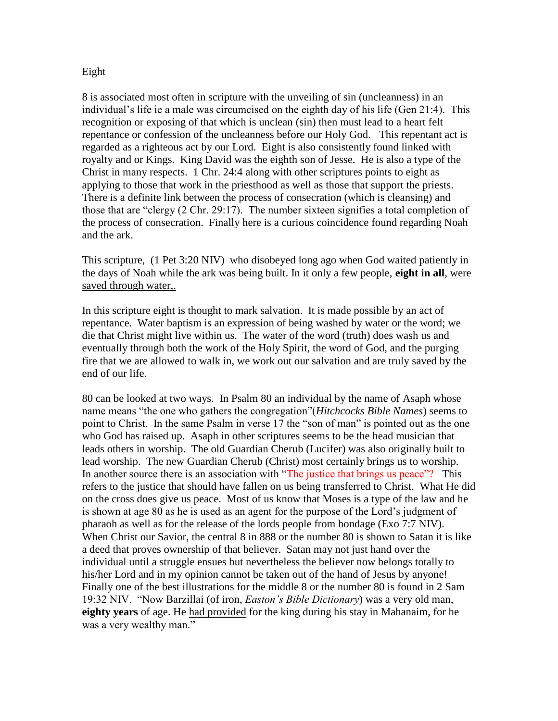## Eight

8 is associated most often in scripture with the unveiling of sin (uncleanness) in an individual's life ie a male was circumcised on the eighth day of his life (Gen 21:4). This recognition or exposing of that which is unclean (sin) then must lead to a heart felt repentance or confession of the uncleanness before our Holy God. This repentant act is regarded as a righteous act by our Lord. Eight is also consistently found linked with royalty and or Kings. King David was the eighth son of Jesse. He is also a type of the Christ in many respects. 1 Chr. 24:4 along with other scriptures points to eight as applying to those that work in the priesthood as well as those that support the priests. There is a definite link between the process of consecration (which is cleansing) and those that are "clergy (2 Chr. 29:17). The number sixteen signifies a total completion of the process of consecration. Finally here is a curious coincidence found regarding Noah and the ark.

This scripture, (1 Pet 3:20 NIV) who disobeyed long ago when God waited patiently in the days of Noah while the ark was being built. In it only a few people, **eight in all**, were saved through water,.

In this scripture eight is thought to mark salvation. It is made possible by an act of repentance. Water baptism is an expression of being washed by water or the word; we die that Christ might live within us. The water of the word (truth) does wash us and eventually through both the work of the Holy Spirit, the word of God, and the purging fire that we are allowed to walk in, we work out our salvation and are truly saved by the end of our life.

80 can be looked at two ways. In Psalm 80 an individual by the name of Asaph whose name means "the one who gathers the congregation"(*Hitchcocks Bible Names*) seems to point to Christ. In the same Psalm in verse 17 the "son of man" is pointed out as the one who God has raised up. Asaph in other scriptures seems to be the head musician that leads others in worship. The old Guardian Cherub (Lucifer) was also originally built to lead worship. The new Guardian Cherub (Christ) most certainly brings us to worship. In another source there is an association with "The justice that brings us peace"? This refers to the justice that should have fallen on us being transferred to Christ. What He did on the cross does give us peace. Most of us know that Moses is a type of the law and he is shown at age 80 as he is used as an agent for the purpose of the Lord's judgment of pharaoh as well as for the release of the lords people from bondage (Exo 7:7 NIV). When Christ our Savior, the central 8 in 888 or the number 80 is shown to Satan it is like a deed that proves ownership of that believer. Satan may not just hand over the individual until a struggle ensues but nevertheless the believer now belongs totally to his/her Lord and in my opinion cannot be taken out of the hand of Jesus by anyone! Finally one of the best illustrations for the middle 8 or the number 80 is found in 2 Sam 19:32 NIV. "Now Barzillai (of iron, *Easton's Bible Dictionary*) was a very old man, **eighty years** of age. He had provided for the king during his stay in Mahanaim, for he was a very wealthy man."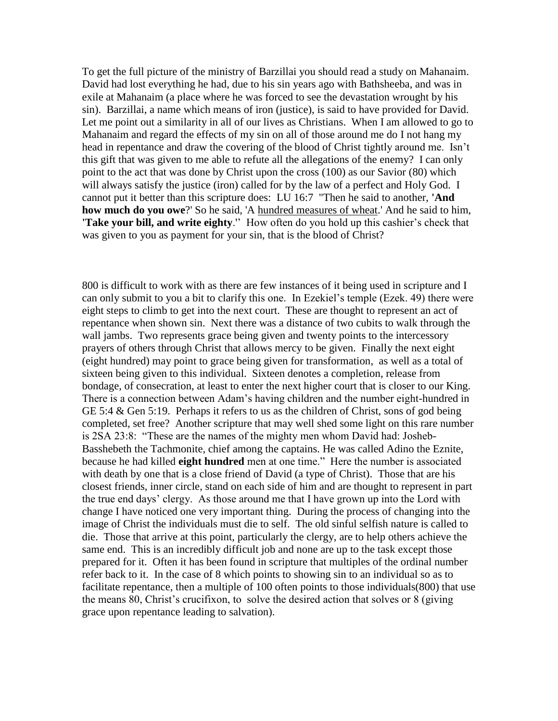To get the full picture of the ministry of Barzillai you should read a study on Mahanaim. David had lost everything he had, due to his sin years ago with Bathsheeba, and was in exile at Mahanaim (a place where he was forced to see the devastation wrought by his sin). Barzillai, a name which means of iron (justice), is said to have provided for David. Let me point out a similarity in all of our lives as Christians. When I am allowed to go to Mahanaim and regard the effects of my sin on all of those around me do I not hang my head in repentance and draw the covering of the blood of Christ tightly around me. Isn't this gift that was given to me able to refute all the allegations of the enemy? I can only point to the act that was done by Christ upon the cross (100) as our Savior (80) which will always satisfy the justice (iron) called for by the law of a perfect and Holy God. I cannot put it better than this scripture does: LU 16:7 "Then he said to another, **'And how much do you owe**?' So he said, 'A hundred measures of wheat.' And he said to him, **'Take your bill, and write eighty**.'' How often do you hold up this cashier's check that was given to you as payment for your sin, that is the blood of Christ?

800 is difficult to work with as there are few instances of it being used in scripture and I can only submit to you a bit to clarify this one. In Ezekiel's temple (Ezek. 49) there were eight steps to climb to get into the next court. These are thought to represent an act of repentance when shown sin. Next there was a distance of two cubits to walk through the wall jambs. Two represents grace being given and twenty points to the intercessory prayers of others through Christ that allows mercy to be given. Finally the next eight (eight hundred) may point to grace being given for transformation, as well as a total of sixteen being given to this individual. Sixteen denotes a completion, release from bondage, of consecration, at least to enter the next higher court that is closer to our King. There is a connection between Adam's having children and the number eight-hundred in GE 5:4 & Gen 5:19. Perhaps it refers to us as the children of Christ, sons of god being completed, set free? Another scripture that may well shed some light on this rare number is 2SA 23:8: "These are the names of the mighty men whom David had: Josheb-Basshebeth the Tachmonite, chief among the captains. He was called Adino the Eznite, because he had killed **eight hundred** men at one time." Here the number is associated with death by one that is a close friend of David (a type of Christ). Those that are his closest friends, inner circle, stand on each side of him and are thought to represent in part the true end days' clergy. As those around me that I have grown up into the Lord with change I have noticed one very important thing. During the process of changing into the image of Christ the individuals must die to self. The old sinful selfish nature is called to die. Those that arrive at this point, particularly the clergy, are to help others achieve the same end. This is an incredibly difficult job and none are up to the task except those prepared for it. Often it has been found in scripture that multiples of the ordinal number refer back to it. In the case of 8 which points to showing sin to an individual so as to facilitate repentance, then a multiple of 100 often points to those individuals(800) that use the means 80, Christ's crucifixon, to solve the desired action that solves or 8 (giving grace upon repentance leading to salvation).